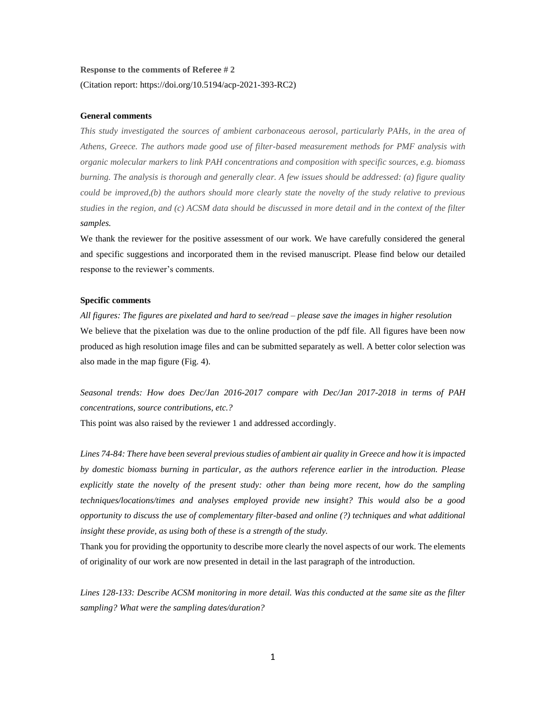# **Response to the comments of Referee # 2** (Citation report: https://doi.org/10.5194/acp-2021-393-RC2)

## **General comments**

*This study investigated the sources of ambient carbonaceous aerosol, particularly PAHs, in the area of Athens, Greece. The authors made good use of filter-based measurement methods for PMF analysis with organic molecular markers to link PAH concentrations and composition with specific sources, e.g. biomass burning. The analysis is thorough and generally clear. A few issues should be addressed: (a) figure quality could be improved,(b) the authors should more clearly state the novelty of the study relative to previous studies in the region, and (c) ACSM data should be discussed in more detail and in the context of the filter samples.*

We thank the reviewer for the positive assessment of our work. We have carefully considered the general and specific suggestions and incorporated them in the revised manuscript. Please find below our detailed response to the reviewer's comments.

#### **Specific comments**

*All figures: The figures are pixelated and hard to see/read – please save the images in higher resolution*  We believe that the pixelation was due to the online production of the pdf file. All figures have been now produced as high resolution image files and can be submitted separately as well. A better color selection was also made in the map figure (Fig. 4).

*Seasonal trends: How does Dec/Jan 2016-2017 compare with Dec/Jan 2017-2018 in terms of PAH concentrations, source contributions, etc.?*

This point was also raised by the reviewer 1 and addressed accordingly.

*Lines 74-84: There have been several previous studies of ambient air quality in Greece and how it is impacted by domestic biomass burning in particular, as the authors reference earlier in the introduction. Please explicitly state the novelty of the present study: other than being more recent, how do the sampling techniques/locations/times and analyses employed provide new insight? This would also be a good opportunity to discuss the use of complementary filter-based and online (?) techniques and what additional insight these provide, as using both of these is a strength of the study.*

Thank you for providing the opportunity to describe more clearly the novel aspects of our work. The elements of originality of our work are now presented in detail in the last paragraph of the introduction.

*Lines 128-133: Describe ACSM monitoring in more detail. Was this conducted at the same site as the filter sampling? What were the sampling dates/duration?*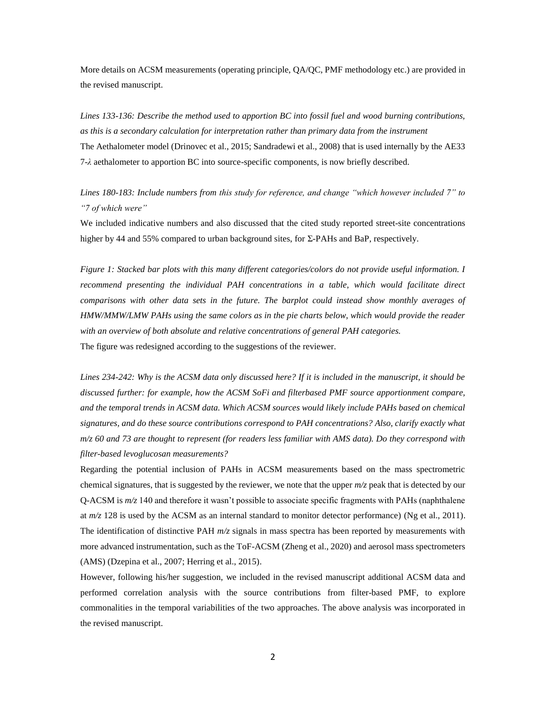More details on ACSM measurements (operating principle, QA/QC, PMF methodology etc.) are provided in the revised manuscript.

*Lines 133-136: Describe the method used to apportion BC into fossil fuel and wood burning contributions, as this is a secondary calculation for interpretation rather than primary data from the instrument* The Aethalometer model (Drinovec et al., 2015; Sandradewi et al., 2008) that is used internally by the AE33 7-*λ* aethalometer to apportion BC into source-specific components, is now briefly described.

*Lines 180-183: Include numbers from this study for reference, and change "which however included 7" to "7 of which were"*

We included indicative numbers and also discussed that the cited study reported street-site concentrations higher by 44 and 55% compared to urban background sites, for Σ-PAHs and BaP, respectively.

*Figure 1: Stacked bar plots with this many different categories/colors do not provide useful information. I*  recommend presenting the individual PAH concentrations in a table, which would facilitate direct *comparisons with other data sets in the future. The barplot could instead show monthly averages of HMW/MMW/LMW PAHs using the same colors as in the pie charts below, which would provide the reader with an overview of both absolute and relative concentrations of general PAH categories.* The figure was redesigned according to the suggestions of the reviewer.

*Lines 234-242: Why is the ACSM data only discussed here? If it is included in the manuscript, it should be discussed further: for example, how the ACSM SoFi and filterbased PMF source apportionment compare, and the temporal trends in ACSM data. Which ACSM sources would likely include PAHs based on chemical signatures, and do these source contributions correspond to PAH concentrations? Also, clarify exactly what m/z 60 and 73 are thought to represent (for readers less familiar with AMS data). Do they correspond with filter-based levoglucosan measurements?*

Regarding the potential inclusion of PAHs in ACSM measurements based on the mass spectrometric chemical signatures, that is suggested by the reviewer, we note that the upper *m/z* peak that is detected by our Q-ACSM is *m/z* 140 and therefore it wasn't possible to associate specific fragments with PAHs (naphthalene at *m/z* 128 is used by the ACSM as an internal standard to monitor detector performance) (Ng et al., 2011). The identification of distinctive PAH *m/z* signals in mass spectra has been reported by measurements with more advanced instrumentation, such as the ToF-ACSM (Zheng et al., 2020) and aerosol mass spectrometers (AMS) (Dzepina et al., 2007; Herring et al., 2015).

However, following his/her suggestion, we included in the revised manuscript additional ACSM data and performed correlation analysis with the source contributions from filter-based PMF, to explore commonalities in the temporal variabilities of the two approaches. The above analysis was incorporated in the revised manuscript.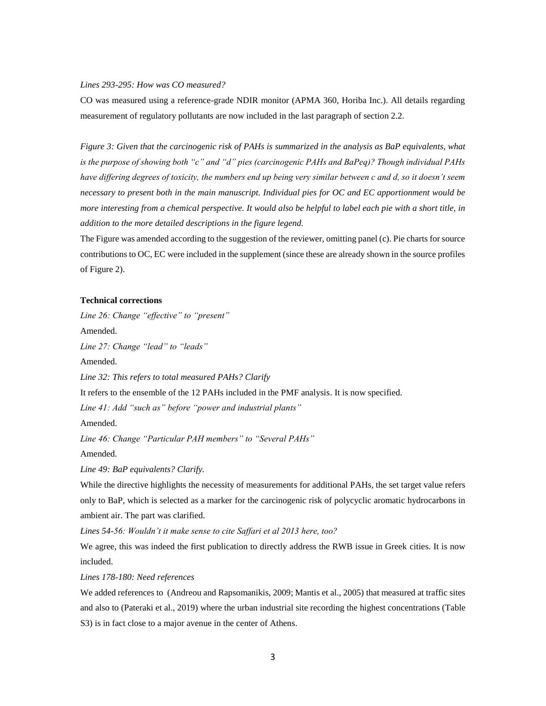## *Lines 293-295: How was CO measured?*

CO was measured using a reference-grade NDIR monitor (APMA 360, Horiba Inc.). All details regarding measurement of regulatory pollutants are now included in the last paragraph of section 2.2.

*Figure 3: Given that the carcinogenic risk of PAHs is summarized in the analysis as BaP equivalents, what is the purpose of showing both "c" and "d" pies (carcinogenic PAHs and BaPeq)? Though individual PAHs have differing degrees of toxicity, the numbers end up being very similar between c and d, so it doesn't seem necessary to present both in the main manuscript. Individual pies for OC and EC apportionment would be more interesting from a chemical perspective. It would also be helpful to label each pie with a short title, in addition to the more detailed descriptions in the figure legend.*

The Figure was amended according to the suggestion of the reviewer, omitting panel (c). Pie charts for source contributions to OC, EC were included in the supplement (since these are already shown in the source profiles of Figure 2).

#### **Technical corrections**

*Line 26: Change "effective" to "present"*

Amended.

*Line 27: Change "lead" to "leads"*

Amended.

*Line 32: This refers to total measured PAHs? Clarify*

It refers to the ensemble of the 12 PAHs included in the PMF analysis. It is now specified.

*Line 41: Add "such as" before "power and industrial plants"*

Amended.

*Line 46: Change "Particular PAH members" to "Several PAHs"*

Amended.

*Line 49: BaP equivalents? Clarify.*

While the directive highlights the necessity of measurements for additional PAHs, the set target value refers only to BaP, which is selected as a marker for the carcinogenic risk of polycyclic aromatic hydrocarbons in ambient air. The part was clarified.

*Lines 54-56: Wouldn't it make sense to cite Saffari et al 2013 here, too?*

We agree, this was indeed the first publication to directly address the RWB issue in Greek cities. It is now included.

*Lines 178-180: Need references*

We added references to (Andreou and Rapsomanikis, 2009; Mantis et al., 2005) that measured at traffic sites and also to (Pateraki et al., 2019) where the urban industrial site recording the highest concentrations (Table S3) is in fact close to a major avenue in the center of Athens.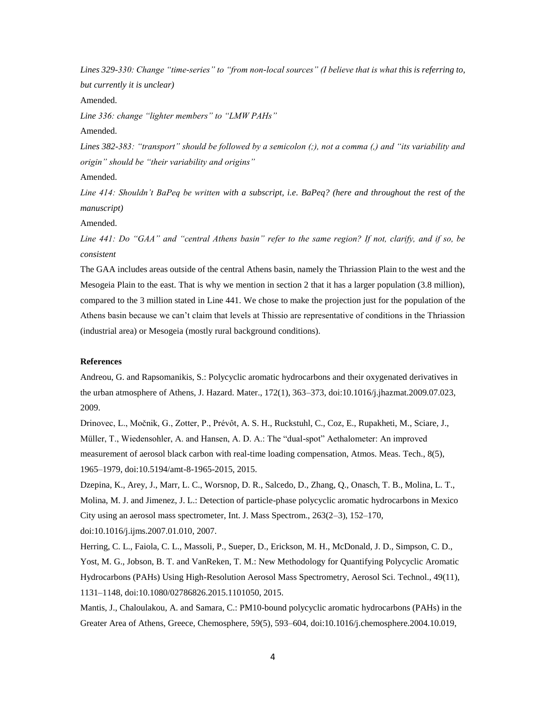*Lines 329-330: Change "time-series" to "from non-local sources" (I believe that is what this is referring to, but currently it is unclear)*

Amended.

*Line 336: change "lighter members" to "LMW PAHs"*

Amended.

*Lines 382-383: "transport" should be followed by a semicolon (;), not a comma (,) and "its variability and origin" should be "their variability and origins"*

Amended.

*Line 414: Shouldn't BaPeq be written with a subscript, i.e. BaPeq? (here and throughout the rest of the manuscript)*

Amended.

*Line 441: Do "GAA" and "central Athens basin" refer to the same region? If not, clarify, and if so, be consistent*

The GAA includes areas outside of the central Athens basin, namely the Thriassion Plain to the west and the Mesogeia Plain to the east. That is why we mention in section 2 that it has a larger population (3.8 million), compared to the 3 million stated in Line 441. We chose to make the projection just for the population of the Athens basin because we can't claim that levels at Thissio are representative of conditions in the Thriassion (industrial area) or Mesogeia (mostly rural background conditions).

#### **References**

Andreou, G. and Rapsomanikis, S.: Polycyclic aromatic hydrocarbons and their oxygenated derivatives in the urban atmosphere of Athens, J. Hazard. Mater., 172(1), 363–373, doi:10.1016/j.jhazmat.2009.07.023, 2009.

Drinovec, L., Močnik, G., Zotter, P., Prévôt, A. S. H., Ruckstuhl, C., Coz, E., Rupakheti, M., Sciare, J., Müller, T., Wiedensohler, A. and Hansen, A. D. A.: The "dual-spot" Aethalometer: An improved measurement of aerosol black carbon with real-time loading compensation, Atmos. Meas. Tech., 8(5), 1965–1979, doi:10.5194/amt-8-1965-2015, 2015.

Dzepina, K., Arey, J., Marr, L. C., Worsnop, D. R., Salcedo, D., Zhang, Q., Onasch, T. B., Molina, L. T., Molina, M. J. and Jimenez, J. L.: Detection of particle-phase polycyclic aromatic hydrocarbons in Mexico City using an aerosol mass spectrometer, Int. J. Mass Spectrom., 263(2–3), 152–170, doi:10.1016/j.ijms.2007.01.010, 2007.

Herring, C. L., Faiola, C. L., Massoli, P., Sueper, D., Erickson, M. H., McDonald, J. D., Simpson, C. D., Yost, M. G., Jobson, B. T. and VanReken, T. M.: New Methodology for Quantifying Polycyclic Aromatic Hydrocarbons (PAHs) Using High-Resolution Aerosol Mass Spectrometry, Aerosol Sci. Technol., 49(11), 1131–1148, doi:10.1080/02786826.2015.1101050, 2015.

Mantis, J., Chaloulakou, A. and Samara, C.: PM10-bound polycyclic aromatic hydrocarbons (PAHs) in the Greater Area of Athens, Greece, Chemosphere, 59(5), 593–604, doi:10.1016/j.chemosphere.2004.10.019,